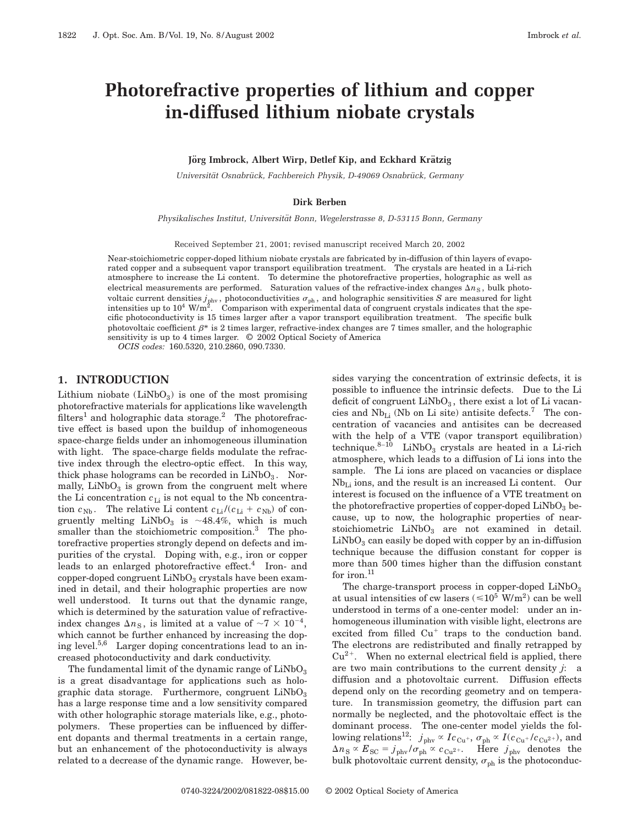# **Photorefractive properties of lithium and copper in-diffused lithium niobate crystals**

# **Jörg Imbrock, Albert Wirp, Detlef Kip, and Eckhard Krätzig**

*Universita¨t Osnabru¨ ck, Fachbereich Physik, D-49069 Osnabru¨ ck, Germany*

#### **Dirk Berben**

*Physikalisches Institut, Universita¨t Bonn, Wegelerstrasse 8, D-53115 Bonn, Germany*

Received September 21, 2001; revised manuscript received March 20, 2002

Near-stoichiometric copper-doped lithium niobate crystals are fabricated by in-diffusion of thin layers of evaporated copper and a subsequent vapor transport equilibration treatment. The crystals are heated in a Li-rich atmosphere to increase the Li content. To determine the photorefractive properties, holographic as well as electrical measurements are performed. Saturation values of the refractive-index changes  $\Delta n_S$ , bulk photovoltaic current densities  $j_{\text{phy}}$ , photoconductivities  $\sigma_{\text{ph}}$ , and holographic sensitivities *S* are measured for light intensities up to  $10^4$  W/m<sup>2</sup>. Comparison with experimental data of congruent crystals indicates that the specific photoconductivity is 15 times larger after a vapor transport equilibration treatment. The specific bulk photovoltaic coefficient  $\beta^*$  is 2 times larger, refractive-index changes are 7 times smaller, and the holographic sensitivity is up to 4 times larger. © 2002 Optical Society of America

*OCIS codes:* 160.5320, 210.2860, 090.7330.

# **1. INTRODUCTION**

Lithium niobate  $(LiNbO<sub>3</sub>)$  is one of the most promising photorefractive materials for applications like wavelength  $\operatorname{filters}^1$  and holographic data storage.<sup>2</sup> The photorefractive effect is based upon the buildup of inhomogeneous space-charge fields under an inhomogeneous illumination with light. The space-charge fields modulate the refractive index through the electro-optic effect. In this way, thick phase holograms can be recorded in  $LiNbO<sub>3</sub>$ . Normally,  $LiNbO<sub>3</sub>$  is grown from the congruent melt where the Li concentration  $c_{\text{Li}}$  is not equal to the Nb concentration  $c_{Nb}$ . The relative Li content  $c_{Li}/(c_{Li} + c_{Nb})$  of congruently melting  $LiNbO<sub>3</sub>$  is ~48.4%, which is much smaller than the stoichiometric composition. $3$  The photorefractive properties strongly depend on defects and impurities of the crystal. Doping with, e.g., iron or copper leads to an enlarged photorefractive effect. $4$  Iron- and copper-doped congruent  $LiNbO<sub>3</sub>$  crystals have been examined in detail, and their holographic properties are now well understood. It turns out that the dynamic range, which is determined by the saturation value of refractiveindex changes  $\Delta n_S$ , is limited at a value of  $\sim 7 \times 10^{-4}$ , which cannot be further enhanced by increasing the doping level.<sup>5,6</sup> Larger doping concentrations lead to an increased photoconductivity and dark conductivity.

The fundamental limit of the dynamic range of  $LiNbO<sub>3</sub>$ is a great disadvantage for applications such as holographic data storage. Furthermore, congruent  $LiNbO<sub>3</sub>$ has a large response time and a low sensitivity compared with other holographic storage materials like, e.g., photopolymers. These properties can be influenced by different dopants and thermal treatments in a certain range, but an enhancement of the photoconductivity is always related to a decrease of the dynamic range. However, besides varying the concentration of extrinsic defects, it is possible to influence the intrinsic defects. Due to the Li deficit of congruent  $LiNbO<sub>3</sub>$ , there exist a lot of Li vacancies and  $Nb<sub>Li</sub>$  (Nb on Li site) antisite defects.<sup>7</sup> The concentration of vacancies and antisites can be decreased with the help of a VTE (vapor transport equilibration) technique.<sup>8-10</sup> LiNbO<sub>3</sub> crystals are heated in a Li-rich atmosphere, which leads to a diffusion of Li ions into the sample. The Li ions are placed on vacancies or displace  $Nb_{Li}$  ions, and the result is an increased Li content. Our interest is focused on the influence of a VTE treatment on the photorefractive properties of copper-doped  $LiNbO<sub>3</sub>$  because, up to now, the holographic properties of nearstoichiometric  $LiNbO<sub>3</sub>$  are not examined in detail.  $LiNbO<sub>3</sub>$  can easily be doped with copper by an in-diffusion technique because the diffusion constant for copper is more than 500 times higher than the diffusion constant for iron. $^{11}$ 

The charge-transport process in copper-doped  $LiNbO<sub>3</sub>$ at usual intensities of cw lasers  $(\leq 10^5 \text{ W/m}^2)$  can be well understood in terms of a one-center model: under an inhomogeneous illumination with visible light, electrons are excited from filled  $Cu^+$  traps to the conduction band. The electrons are redistributed and finally retrapped by  $Cu<sup>2+</sup>$ . When no external electrical field is applied, there are two main contributions to the current density *j*: a diffusion and a photovoltaic current. Diffusion effects depend only on the recording geometry and on temperature. In transmission geometry, the diffusion part can normally be neglected, and the photovoltaic effect is the dominant process. The one-center model yields the following relations<sup>12</sup>:  $j_{\text{phy}} \propto I_c c_{\text{Cu}}$ ,  $\sigma_{\text{ph}} \propto I(c_{\text{Cu}}/c_{\text{Cu}}^2)$ , and  $\Delta n_{\rm S} \propto E_{\rm SC} = j_{\rm phy} / \sigma_{\rm ph} \propto c_{\rm Cu^{2+}}$ . Here  $j_{\rm phy}$  denotes the bulk photovoltaic current density,  $\sigma_{ph}$  is the photoconduc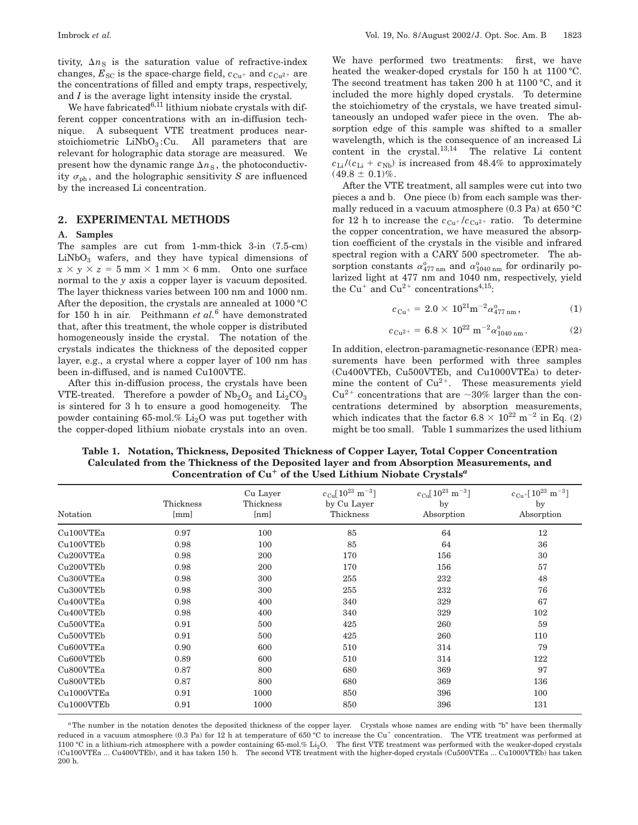Imbrock *et al.* Vol. 19, No. 8/August 2002/J. Opt. Soc. Am. B 1823

tivity,  $\Delta n_S$  is the saturation value of refractive-index changes,  $E_{SC}$  is the space-charge field,  $c_{Cu^+}$  and  $c_{Cu^{2+}}$  are the concentrations of filled and empty traps, respectively, and *I* is the average light intensity inside the crystal.

We have fabricated<sup>6,11</sup> lithium niobate crystals with different copper concentrations with an in-diffusion technique. A subsequent VTE treatment produces nearstoichiometric  $LiNbO<sub>3</sub>:Cu$ . All parameters that are relevant for holographic data storage are measured. We present how the dynamic range  $\Delta n_S$ , the photoconductivity  $\sigma_{ph}$ , and the holographic sensitivity *S* are influenced by the increased Li concentration.

# **2. EXPERIMENTAL METHODS**

## **A. Samples**

The samples are cut from 1-mm-thick 3-in (7.5-cm)  $LiNbO<sub>3</sub>$  wafers, and they have typical dimensions of  $x \times y \times z = 5$  mm  $\times$  1 mm  $\times$  6 mm. Onto one surface normal to the *y* axis a copper layer is vacuum deposited. The layer thickness varies between 100 nm and 1000 nm. After the deposition, the crystals are annealed at 1000 °C for 150 h in air. Peithmann *et al.*<sup>6</sup> have demonstrated that, after this treatment, the whole copper is distributed homogeneously inside the crystal. The notation of the crystals indicates the thickness of the deposited copper layer, e.g., a crystal where a copper layer of 100 nm has been in-diffused, and is named Cu100VTE.

After this in-diffusion process, the crystals have been VTE-treated. Therefore a powder of  $Nb<sub>2</sub>O<sub>5</sub>$  and  $Li<sub>2</sub>CO<sub>3</sub>$ is sintered for 3 h to ensure a good homogeneity. The powder containing 65-mol.%  $\text{Li}_2\text{O}$  was put together with the copper-doped lithium niobate crystals into an oven. We have performed two treatments: first, we have heated the weaker-doped crystals for 150 h at 1100 °C. The second treatment has taken 200 h at 1100 °C, and it included the more highly doped crystals. To determine the stoichiometry of the crystals, we have treated simultaneously an undoped wafer piece in the oven. The absorption edge of this sample was shifted to a smaller wavelength, which is the consequence of an increased Li content in the crystal.13,14 The relative Li content  $c_{\text{Li}} / (c_{\text{Li}} + c_{\text{Nb}})$  is increased from 48.4% to approximately  $(49.8 \pm 0.1)\%$ .

After the VTE treatment, all samples were cut into two pieces a and b. One piece (b) from each sample was thermally reduced in a vacuum atmosphere (0.3 Pa) at 650 °C for 12 h to increase the  $c_{Cu^+}/c_{Cu^{2+}}$  ratio. To determine the copper concentration, we have measured the absorption coefficient of the crystals in the visible and infrared spectral region with a CARY 500 spectrometer. The absorption constants  $\alpha_{477 \text{ nm}}^{\text{o}}$  and  $\alpha_{1040 \text{ nm}}^{\text{o}}$  for ordinarily polarized light at 477 nm and 1040 nm, respectively, yield the Cu<sup>+</sup> and Cu<sup>2+</sup> concentrations<sup>4,15</sup>:

$$
c_{\rm Cu^+} = 2.0 \times 10^{21} \rm m^{-2} \alpha_{477 \, \rm nm}^0,\tag{1}
$$

$$
c_{\rm Cu^{2+}} = 6.8 \times 10^{22} \,\mathrm{m}^{-2} \alpha_{1040 \,\mathrm{nm}}^0. \tag{2}
$$

In addition, electron-paramagnetic-resonance (EPR) measurements have been performed with three samples (Cu400VTEb, Cu500VTEb, and Cu1000VTEa) to determine the content of  $Cu^{2+}$ . These measurements yield  $Cu^{2+}$  concentrations that are  $\sim$ 30% larger than the concentrations determined by absorption measurements, which indicates that the factor  $6.8 \times 10^{22}$  m<sup>-2</sup> in Eq. (2) might be too small. Table 1 summarizes the used lithium

**Table 1. Notation, Thickness, Deposited Thickness of Copper Layer, Total Copper Concentration Calculated from the Thickness of the Deposited layer and from Absorption Measurements, and** Concentration of Cu<sup>+</sup> of the Used Lithium Niobate Crystals<sup>*a*</sup>

| Notation                           | Thickness<br>[mm] | Cu Layer<br>Thickness<br>[nm] | $c_{\text{Cu}}[10^{23} \text{ m}^{-3}]$<br>by Cu Layer<br>Thickness | $c_{\text{Cu}}[10^{23} \text{ m}^{-3}]$<br>by<br>Absorption | $c_{\rm Cu^+}$ [10 <sup>23</sup> m <sup>-3</sup> ]<br>by<br>Absorption |
|------------------------------------|-------------------|-------------------------------|---------------------------------------------------------------------|-------------------------------------------------------------|------------------------------------------------------------------------|
| Cu100VTEa                          | 0.97              | 100                           | 85                                                                  | 64                                                          | 12                                                                     |
| Cu <sub>100</sub> VTE <sub>b</sub> | 0.98              | 100                           | 85                                                                  | 64                                                          | 36                                                                     |
| Cu <sub>200</sub> VTEa             | 0.98              | 200                           | 170                                                                 | 156                                                         | 30                                                                     |
| Cu <sub>200</sub> VTE <sub>b</sub> | 0.98              | 200                           | 170                                                                 | 156                                                         | 57                                                                     |
| Cu300VTEa                          | 0.98              | 300                           | 255                                                                 | 232                                                         | 48                                                                     |
| Cu300VTEb                          | 0.98              | 300                           | 255                                                                 | 232                                                         | 76                                                                     |
| Cu400VTEa                          | 0.98              | 400                           | 340                                                                 | 329                                                         | 67                                                                     |
| Cu400VTEb                          | 0.98              | 400                           | 340                                                                 | 329                                                         | 102                                                                    |
| Cu500VTEa                          | 0.91              | 500                           | 425                                                                 | 260                                                         | 59                                                                     |
| Cu500VTEb                          | 0.91              | 500                           | 425                                                                 | 260                                                         | 110                                                                    |
| Cu <sub>600</sub> VTEa             | 0.90              | 600                           | 510                                                                 | 314                                                         | 79                                                                     |
| Cu600VTEb                          | 0.89              | 600                           | 510                                                                 | 314                                                         | 122                                                                    |
| Cu800VTEa                          | 0.87              | 800                           | 680                                                                 | 369                                                         | 97                                                                     |
| Cu800VTEb                          | 0.87              | 800                           | 680                                                                 | 369                                                         | 136                                                                    |
| Cu <sub>1000</sub> VTEa            | 0.91              | 1000                          | 850                                                                 | 396                                                         | 100                                                                    |
| Cu1000VTEb                         | 0.91              | 1000                          | 850                                                                 | 396                                                         | 131                                                                    |

<sup>a</sup>The number in the notation denotes the deposited thickness of the copper layer. Crystals whose names are ending with "b" have been thermally reduced in a vacuum atmosphere (0.3 Pa) for 12 h at temperature of 650 °C to increase the Cu<sup>+</sup> concentration. The VTE treatment was performed at 1100 °C in a lithium-rich atmosphere with a powder containing 65-mol.% Li2O. The first VTE treatment was performed with the weaker-doped crystals (Cu100VTEa ... Cu400VTEb), and it has taken 150 h. The second VTE treatment with the higher-doped crystals (Cu500VTEa ... Cu1000VTEb) has taken 200 h.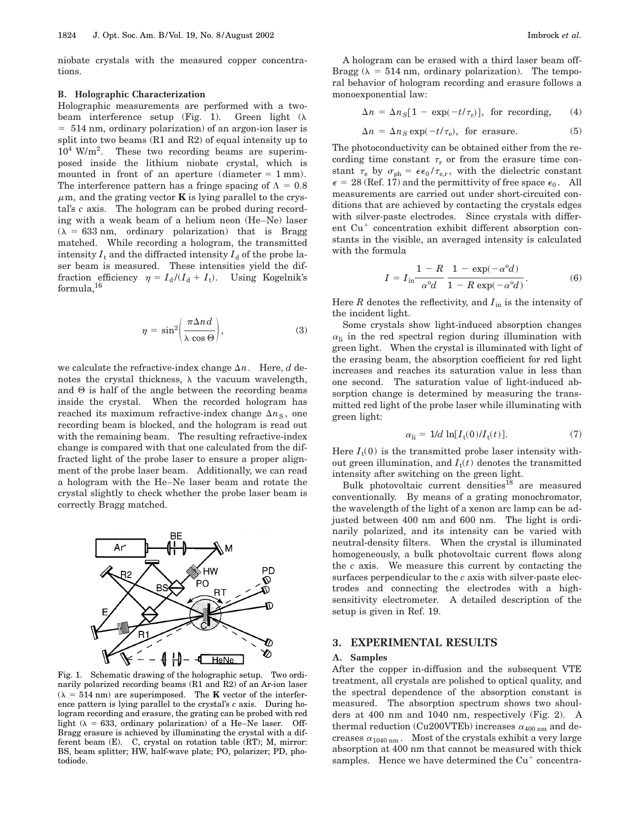niobate crystals with the measured copper concentrations.

#### **B. Holographic Characterization**

Holographic measurements are performed with a twobeam interference setup (Fig. 1). Green light  $(\lambda)$ 5 514 nm, ordinary polarization) of an argon-ion laser is split into two beams (R1 and R2) of equal intensity up to  $10^4$  W/m<sup>2</sup>. These two recording beams are superimposed inside the lithium niobate crystal, which is mounted in front of an aperture (diameter  $= 1$  mm). The interference pattern has a fringe spacing of  $\Lambda = 0.8$  $\mu$ m, and the grating vector **K** is lying parallel to the crystal's *c* axis. The hologram can be probed during recording with a weak beam of a helium neon (He–Ne) laser  $(\lambda = 633 \text{ nm}, \text{ordinary polarization})$  that is Bragg matched. While recording a hologram, the transmitted intensity  $I_t$  and the diffracted intensity  $I_d$  of the probe laser beam is measured. These intensities yield the diffraction efficiency  $\eta = I_d/(I_d + I_t)$ . Using Kogelnik's  $formula<sup>16</sup>$ 

$$
\eta = \sin^2 \left( \frac{\pi \Delta n d}{\lambda \cos \Theta} \right),\tag{3}
$$

we calculate the refractive-index change  $\Delta n$ . Here, *d* denotes the crystal thickness,  $\lambda$  the vacuum wavelength, and  $\Theta$  is half of the angle between the recording beams inside the crystal. When the recorded hologram has reached its maximum refractive-index change  $\Delta n<sub>S</sub>$ , one recording beam is blocked, and the hologram is read out with the remaining beam. The resulting refractive-index change is compared with that one calculated from the diffracted light of the probe laser to ensure a proper alignment of the probe laser beam. Additionally, we can read a hologram with the He–Ne laser beam and rotate the crystal slightly to check whether the probe laser beam is correctly Bragg matched.



Fig. 1. Schematic drawing of the holographic setup. Two ordinarily polarized recording beams (R1 and R2) of an Ar-ion laser  $(\lambda = 514 \text{ nm})$  are superimposed. The **K** vector of the interference pattern is lying parallel to the crystal's *c* axis. During hologram recording and erasure, the grating can be probed with red light ( $\lambda = 633$ , ordinary polarization) of a He–Ne laser. Off-Bragg erasure is achieved by illuminating the crystal with a different beam (E). C, crystal on rotation table (RT); M, mirror: BS, beam splitter; HW, half-wave plate; PO, polarizer; PD, photodiode.

A hologram can be erased with a third laser beam off-Bragg ( $\lambda = 514$  nm, ordinary polarization). The temporal behavior of hologram recording and erasure follows a monoexponential law:

$$
\Delta n = \Delta n_S [1 - \exp(-t/\tau_r)], \text{ for recording,} \qquad (4)
$$

$$
\Delta n = \Delta n_S \exp(-t/\tau_e), \text{ for erasure.} \tag{5}
$$

The photoconductivity can be obtained either from the recording time constant  $\tau_r$  or from the erasure time constant  $\tau_e$  by  $\sigma_{ph} = \epsilon \epsilon_0 / \tau_{e,r}$ , with the dielectric constant  $\epsilon = 28$  (Ref. 17) and the permittivity of free space  $\epsilon_0$ . All measurements are carried out under short-circuited conditions that are achieved by contacting the crystals edges with silver-paste electrodes. Since crystals with different  $Cu<sup>+</sup>$  concentration exhibit different absorption constants in the visible, an averaged intensity is calculated with the formula

$$
I = I_{\text{in}} \frac{1 - R}{\alpha^{\circ} d} \frac{1 - \exp(-\alpha^{\circ} d)}{1 - R \exp(-\alpha^{\circ} d)}.
$$
 (6)

Here  $R$  denotes the reflectivity, and  $I_{in}$  is the intensity of the incident light.

Some crystals show light-induced absorption changes  $\alpha_{li}$  in the red spectral region during illumination with green light. When the crystal is illuminated with light of the erasing beam, the absorption coefficient for red light increases and reaches its saturation value in less than one second. The saturation value of light-induced absorption change is determined by measuring the transmitted red light of the probe laser while illuminating with green light:

$$
\alpha_{\rm li} = 1/d \, \ln[I_{\rm t}(0)/I_{\rm t}(t)]. \tag{7}
$$

Here  $I_t(0)$  is the transmitted probe laser intensity without green illumination, and  $I_t(t)$  denotes the transmitted intensity after switching on the green light.

Bulk photovoltaic current densities<sup>18</sup> are measured conventionally. By means of a grating monochromator, the wavelength of the light of a xenon arc lamp can be adjusted between 400 nm and 600 nm. The light is ordinarily polarized, and its intensity can be varied with neutral-density filters. When the crystal is illuminated homogeneously, a bulk photovoltaic current flows along the *c* axis. We measure this current by contacting the surfaces perpendicular to the *c* axis with silver-paste electrodes and connecting the electrodes with a highsensitivity electrometer. A detailed description of the setup is given in Ref. 19.

## **3. EXPERIMENTAL RESULTS**

#### **A. Samples**

After the copper in-diffusion and the subsequent VTE treatment, all crystals are polished to optical quality, and the spectral dependence of the absorption constant is measured. The absorption spectrum shows two shoulders at 400 nm and 1040 nm, respectively (Fig. 2). A thermal reduction (Cu200VTEb) increases  $\alpha_{400 \text{ nm}}$  and decreases  $\alpha_{1040 \text{ nm}}$ . Most of the crystals exhibit a very large absorption at 400 nm that cannot be measured with thick samples. Hence we have determined the  $Cu<sup>+</sup>$  concentra-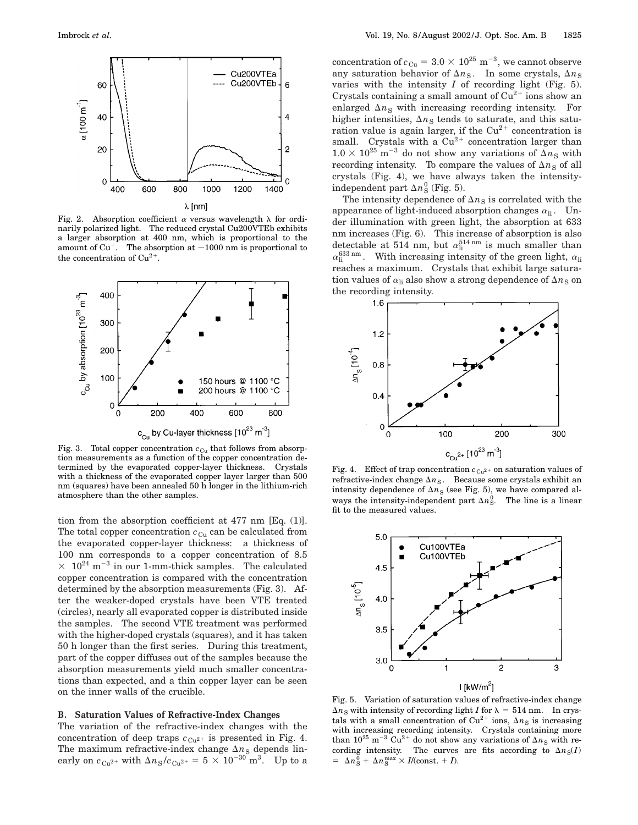

Fig. 2. Absorption coefficient  $\alpha$  versus wavelength  $\lambda$  for ordinarily polarized light. The reduced crystal Cu200VTEb exhibits a larger absorption at 400 nm, which is proportional to the amount of  $Cu^+$ . The absorption at  $\sim$ 1000 nm is proportional to the concentration of  $Cu^{2+}$ .



Fig. 3. Total copper concentration  $c_{Cu}$  that follows from absorption measurements as a function of the copper concentration determined by the evaporated copper-layer thickness. Crystals with a thickness of the evaporated copper layer larger than 500 nm (squares) have been annealed 50 h longer in the lithium-rich atmosphere than the other samples.

tion from the absorption coefficient at 477 nm [Eq. (1)]. The total copper concentration  $c_{Cu}$  can be calculated from the evaporated copper-layer thickness: a thickness of 100 nm corresponds to a copper concentration of 8.5  $\times$  10<sup>24</sup> m<sup>-3</sup> in our 1-mm-thick samples. The calculated copper concentration is compared with the concentration determined by the absorption measurements (Fig. 3). After the weaker-doped crystals have been VTE treated (circles), nearly all evaporated copper is distributed inside the samples. The second VTE treatment was performed with the higher-doped crystals (squares), and it has taken 50 h longer than the first series. During this treatment, part of the copper diffuses out of the samples because the absorption measurements yield much smaller concentrations than expected, and a thin copper layer can be seen on the inner walls of the crucible.

# **B. Saturation Values of Refractive-Index Changes**

The variation of the refractive-index changes with the concentration of deep traps  $c_{Cu^{2+}}$  is presented in Fig. 4. The maximum refractive-index change  $\Delta n_S$  depends linearly on  $c_{Cu^{2+}}$  with  $\Delta n_S / c_{Cu^{2+}} = 5 \times 10^{-30}$  m<sup>3</sup>. Up to a

concentration of  $c_{Cu} = 3.0 \times 10^{25} \text{ m}^{-3}$ , we cannot observe any saturation behavior of  $\Delta n_S$ . In some crystals,  $\Delta n_S$ varies with the intensity *I* of recording light (Fig. 5). Crystals containing a small amount of  $Cu^{2+}$  ions show an enlarged  $\Delta n_S$  with increasing recording intensity. For higher intensities,  $\Delta n_S$  tends to saturate, and this saturation value is again larger, if the  $Cu^{2+}$  concentration is small. Crystals with a  $Cu^{2+}$  concentration larger than  $1.0 \times 10^{25}$  m<sup>-3</sup> do not show any variations of  $\Delta n$ <sub>S</sub> with recording intensity. To compare the values of  $\Delta n_S$  of all crystals (Fig. 4), we have always taken the intensityindependent part  $\Delta n$ <sup>0</sup><sub>S</sub> (Fig. 5).

The intensity dependence of  $\Delta n_{\rm S}$  is correlated with the appearance of light-induced absorption changes  $\alpha_{li}$ . Under illumination with green light, the absorption at 633 nm increases (Fig. 6). This increase of absorption is also detectable at 514 nm, but  $\alpha_{\rm ii}^{514 \text{ nm}}$  is much smaller than  $\alpha_{li}^{633 \text{ nm}}$ . With increasing intensity of the green light,  $\alpha_{li}$ reaches a maximum. Crystals that exhibit large saturation values of  $\alpha_{li}$  also show a strong dependence of  $\Delta n_S$  on the recording intensity.



Fig. 4. Effect of trap concentration  $c_{Cu^{2+}}$  on saturation values of refractive-index change  $\Delta n_S$ . Because some crystals exhibit an intensity dependence of  $\Delta n_{\rm S}$  (see Fig. 5), we have compared always the intensity-independent part  $\Delta n_S^0$ . The line is a linear fit to the measured values.



Fig. 5. Variation of saturation values of refractive-index change  $\Delta n_S$  with intensity of recording light *I* for  $\lambda = 514$  nm. In crystals with a small concentration of  $Cu^{2+}$  ions,  $\Delta n_S$  is increasing with increasing recording intensity. Crystals containing more than  $10^{25}$  m<sup>-3</sup> Cu<sup>2+</sup> do not show any variations of  $\Delta n_S$  with recording intensity. The curves are fits according to  $\Delta n_S(I)$  $= \Delta n_S^0 + \Delta n_S^{\text{max}} \times I/(\text{const.} + I).$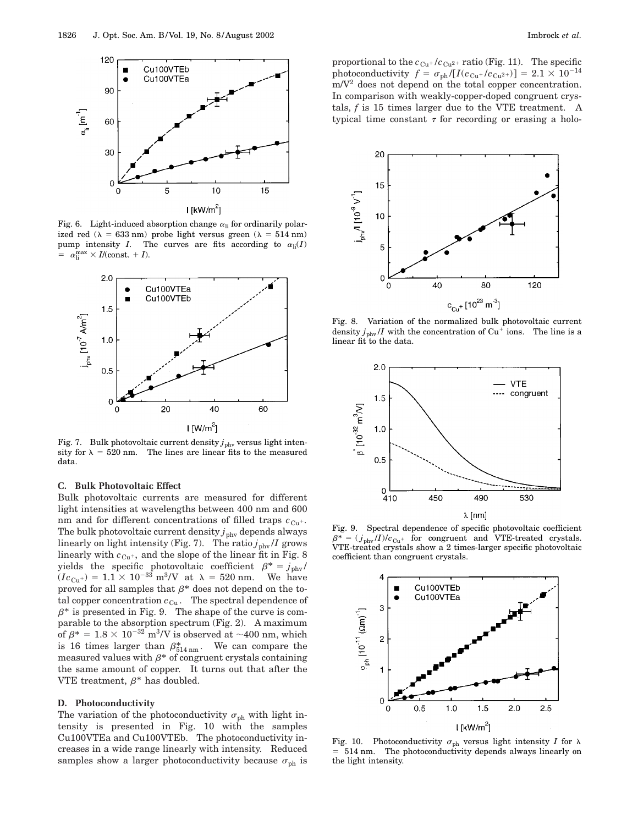

Fig. 6. Light-induced absorption change  $\alpha_{li}$  for ordinarily polarized red ( $\lambda = 633$  nm) probe light versus green ( $\lambda = 514$  nm) pump intensity *I*. The curves are fits according to  $\alpha_{\text{li}}(I)$  $= \alpha_{\text{li}}^{\text{max}} \times I/(\text{const.} + I).$ 



Fig. 7. Bulk photovoltaic current density  $j_{\text{phy}}$  versus light intensity for  $\lambda = 520$  nm. The lines are linear fits to the measured data.

## **C. Bulk Photovoltaic Effect**

Bulk photovoltaic currents are measured for different light intensities at wavelengths between 400 nm and 600 nm and for different concentrations of filled traps  $c_{\text{Cu}}$ . The bulk photovoltaic current density  $j_{\text{phy}}$  depends always linearly on light intensity (Fig. 7). The ratio  $j_{\text{phy}}/I$  grows linearly with  $c_{\text{Cu}^{+}}$ , and the slope of the linear fit in Fig. 8 yields the specific photovoltaic coefficient  $\beta^* = j_{\text{phy}}/j_{\text{phy}}$  $(Ic_{\text{Cu}}^{\text{+}}) = 1.1 \times 10^{-33} \text{ m}^3/\text{V}$  at  $\lambda = 520 \text{ nm}$ . We have proved for all samples that  $\beta^*$  does not depend on the total copper concentration  $c_{\text{Cu}}$ . The spectral dependence of  $\beta^*$  is presented in Fig. 9. The shape of the curve is comparable to the absorption spectrum (Fig. 2). A maximum of  $\beta^* = 1.8 \times 10^{-32}$  m<sup>3</sup>/V is observed at ~400 nm, which is 16 times larger than  $\beta_{514 \text{ nm}}^*$ . We can compare the measured values with  $\beta^*$  of congruent crystals containing the same amount of copper. It turns out that after the VTE treatment,  $\beta^*$  has doubled.

## **D. Photoconductivity**

The variation of the photoconductivity  $\sigma_{\rm ph}$  with light intensity is presented in Fig. 10 with the samples Cu100VTEa and Cu100VTEb. The photoconductivity increases in a wide range linearly with intensity. Reduced samples show a larger photoconductivity because  $\sigma_{ph}$  is proportional to the  $c_{Cu^+}/c_{Cu^{2+}}$  ratio (Fig. 11). The specific photoconductivity  $f = \sigma_{ph} / [I(c_{Cu^{+}}/c_{Cu^{2+}})] = 2.1 \times 10^{-14}$  $m/V^2$  does not depend on the total copper concentration. In comparison with weakly-copper-doped congruent crystals, *f* is 15 times larger due to the VTE treatment. A typical time constant  $\tau$  for recording or erasing a holo-



Fig. 8. Variation of the normalized bulk photovoltaic current density  $j_{\text{phy}}/I$  with the concentration of Cu<sup>+</sup> ions. The line is a linear fit to the data.



Fig. 9. Spectral dependence of specific photovoltaic coefficient  $\beta^* = (j_{\text{phy}}/I)/c_{\text{Cu}^+}$  for congruent and VTE-treated crystals. VTE-treated crystals show a 2 times-larger specific photovoltaic coefficient than congruent crystals.



Fig. 10. Photoconductivity  $\sigma_{\rm ph}$  versus light intensity *I* for  $\lambda$ 5 514 nm. The photoconductivity depends always linearly on the light intensity.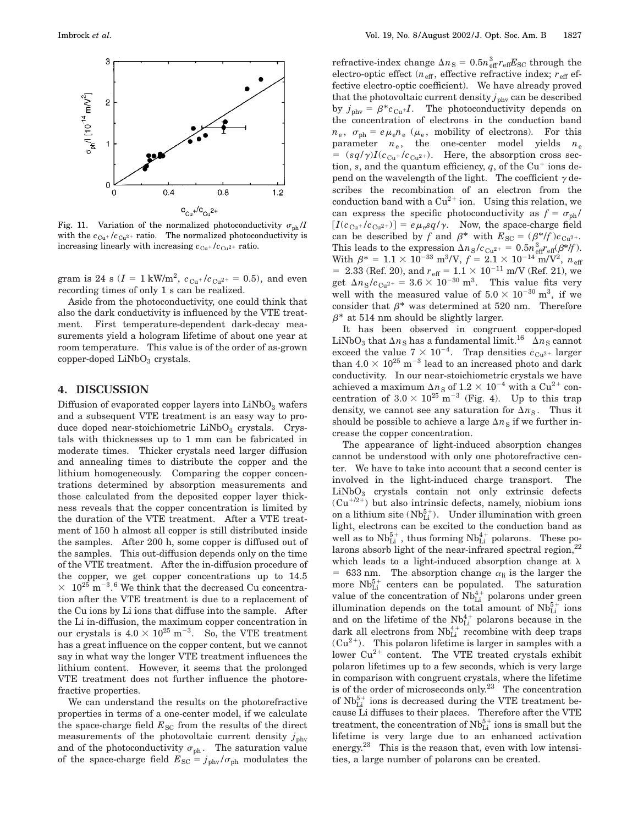

Fig. 11. Variation of the normalized photoconductivity  $\sigma_{\rm ph}/I$ with the  $c_{\text{Cu}^+}/c_{\text{Cu}^2+}$  ratio. The normalized photoconductivity is increasing linearly with increasing  $c_{\rm Cu^+}/c_{\rm Cu^{2+}}$  ratio.

gram is 24 s ( $I = 1 \text{ kW/m}^2$ ,  $c_{Cu^2}$  / $c_{Cu^2}$  = 0.5), and even recording times of only 1 s can be realized.

Aside from the photoconductivity, one could think that also the dark conductivity is influenced by the VTE treatment. First temperature-dependent dark-decay measurements yield a hologram lifetime of about one year at room temperature. This value is of the order of as-grown copper-doped  $LiNbO<sub>3</sub>$  crystals.

# **4. DISCUSSION**

Diffusion of evaporated copper layers into  $LiNbO<sub>3</sub>$  wafers and a subsequent VTE treatment is an easy way to produce doped near-stoichiometric  $LiNbO<sub>3</sub>$  crystals. Crystals with thicknesses up to 1 mm can be fabricated in moderate times. Thicker crystals need larger diffusion and annealing times to distribute the copper and the lithium homogeneously. Comparing the copper concentrations determined by absorption measurements and those calculated from the deposited copper layer thickness reveals that the copper concentration is limited by the duration of the VTE treatment. After a VTE treatment of 150 h almost all copper is still distributed inside the samples. After 200 h, some copper is diffused out of the samples. This out-diffusion depends only on the time of the VTE treatment. After the in-diffusion procedure of the copper, we get copper concentrations up to 14.5  $\times$  10<sup>25</sup> m<sup>-3</sup>.<sup>6</sup> We think that the decreased Cu concentration after the VTE treatment is due to a replacement of the Cu ions by Li ions that diffuse into the sample. After the Li in-diffusion, the maximum copper concentration in our crystals is  $4.0 \times 10^{25}$  m<sup>-3</sup>. So, the VTE treatment has a great influence on the copper content, but we cannot say in what way the longer VTE treatment influences the lithium content. However, it seems that the prolonged VTE treatment does not further influence the photorefractive properties.

We can understand the results on the photorefractive properties in terms of a one-center model, if we calculate the space-charge field  $E_{SC}$  from the results of the direct measurements of the photovoltaic current density  $j_{\text{phy}}$ and of the photoconductivity  $\sigma_{ph}$ . The saturation value of the space-charge field  $E_{SC} = j_{phv}/\sigma_{ph}$  modulates the

refractive-index change  $\Delta n_{\rm S} = 0.5 n_{\rm eff}^3 r_{\rm eff} E_{\rm SC}$  through the electro-optic effect  $(n_{\text{eff}})$ , effective refractive index;  $r_{\text{eff}}$  effective electro-optic coefficient). We have already proved that the photovoltaic current density  $j_{\text{phy}}$  can be described by  $j_{\text{phy}} = \beta * c_{\text{Cu}} I$ . The photoconductivity depends on the concentration of electrons in the conduction band  $n_e$ ,  $\sigma_{ph} = e\mu_e n_e$  ( $\mu_e$ , mobility of electrons). For this parameter  $n_e$ , the one-center model yields  $n_e$  $= (sq/\gamma)I(c_{\text{Cu}}/c_{\text{Cu}})/c_{\text{Cu}}$ . Here, the absorption cross section, *s*, and the quantum efficiency, *q*, of the  $Cu^+$  ions depend on the wavelength of the light. The coefficient  $\gamma$  describes the recombination of an electron from the conduction band with a  $Cu^{2+}$  ion. Using this relation, we can express the specific photoconductivity as  $f = \sigma_{\rm ph} /$  $[I(c_{\text{Cu}}/c_{\text{Cu}}^{2+})] = e\mu_e s q/\gamma$ . Now, the space-charge field can be described by *f* and  $\beta^*$  with  $E_{SC} = (\beta^* / f) c_{Cu^{2+}}$ . This leads to the expression  $\Delta n_S/c_{\text{Cu}^{2+}} = 0.5 n_{\text{eff}}^3 r_{\text{eff}}(\beta^* / f)$ .  $\text{With}~~\beta^*=1.1\times 10^{-33}~\text{m}^3\text{/V},~f=2.1\times 10^{-14}~\text{m}/\text{V}^2,~n_{\text{eff}}$ = 2.33 (Ref. 20), and  $r_{\text{eff}} = 1.1 \times 10^{-11}$  m/V (Ref. 21), we get  $\Delta n_{\rm S}/c_{\rm Cu^{2+}} = 3.6 \times 10^{-30} \text{ m}^3$ . This value fits very well with the measured value of  $5.0 \times 10^{-30}$  m<sup>3</sup>, if we consider that  $\beta^*$  was determined at 520 nm. Therefore  $\beta^*$  at 514 nm should be slightly larger.

It has been observed in congruent copper-doped LiNbO<sub>3</sub> that  $\Delta n_S$  has a fundamental limit.<sup>16</sup>  $\Delta n_S$  cannot exceed the value  $7 \times 10^{-4}$ . Trap densities  $c_{Cu^{2+}}$  larger than 4.0  $\times$  10<sup>25</sup> m<sup>-3</sup> lead to an increased photo and dark conductivity. In our near-stoichiometric crystals we have achieved a maximum  $\Delta n_S$  of  $1.2 \times 10^{-4}$  with a Cu<sup>2+</sup> concentration of  $3.0 \times 10^{25}$  m<sup>-3</sup> (Fig. 4). Up to this trap density, we cannot see any saturation for  $\Delta n_S$ . Thus it should be possible to achieve a large  $\Delta n_S$  if we further increase the copper concentration.

The appearance of light-induced absorption changes cannot be understood with only one photorefractive center. We have to take into account that a second center is involved in the light-induced charge transport. The LiNbO3 crystals contain not only extrinsic defects  $(Cu^{+/2+})$  but also intrinsic defects, namely, niobium ions on a lithium site  $(Nb_{Li}^{5+})$ . Under illumination with green light, electrons can be excited to the conduction band as well as to  $Nb_{Li}^{5+}$ , thus forming  $Nb_{Li}^{4+}$  polarons. These polarons absorb light of the near-infrared spectral region, $^{22}$ which leads to a light-induced absorption change at  $\lambda$ = 633 nm. The absorption change  $\alpha_{li}$  is the larger the more  $Nb<sub>Li</sub><sup>5+</sup>$  centers can be populated. The saturation value of the concentration of  $\mathrm{Nb}_{\mathrm{Li}}^{4+}$  polarons under green illumination depends on the total amount of  $Nb<sub>Li</sub><sup>5+</sup>$  ions and on the lifetime of the  $Nb<sub>Li</sub><sup>4+</sup>$  polarons because in the dark all electrons from  $Nb<sub>Li</sub><sup>4+</sup>$  recombine with deep traps  $(Cu^{2+})$ . This polaron lifetime is larger in samples with a lower  $Cu^{2+}$  content. The VTE treated crystals exhibit polaron lifetimes up to a few seconds, which is very large in comparison with congruent crystals, where the lifetime is of the order of microseconds only.<sup>23</sup> The concentration of  $Nb<sub>Li</sub><sup>5+</sup>$  ions is decreased during the VTE treatment because Li diffuses to their places. Therefore after the VTE treatment, the concentration of  $\text{Nb}^{5+}_{\text{Li}}$  ions is small but the lifetime is very large due to an enhanced activation energy.<sup>23</sup> This is the reason that, even with low intensities, a large number of polarons can be created.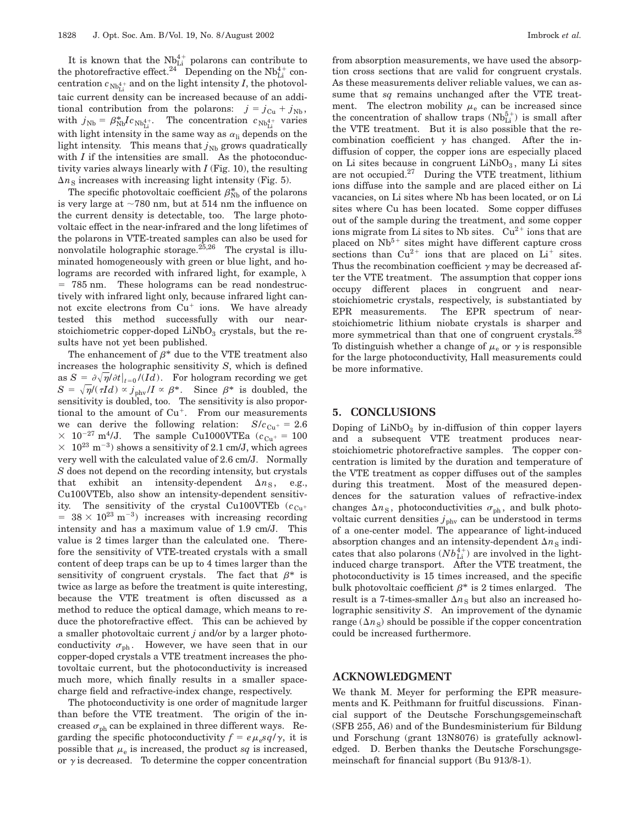It is known that the  $Nb<sub>Li</sub><sup>4+</sup>$  polarons can contribute to the photorefractive effect.<sup>24</sup> Depending on the  $Nb<sub>Li</sub><sup>4+</sup>$  con- $\text{centration}~c_{\rm Nb_{Li}^{4+}}$  and on the light intensity *I*, the photovoltaic current density can be increased because of an additional contribution from the polarons:  $j = j_{Cu} + j_{Nb}$ , with  $j_{\text{Nb}} = \beta_{\text{Nb}}^* I c_{\text{Nb}_{\text{Li}}^{4+}}$ . The concentration  $c_{\text{Nb}_{\text{Li}}^{4+}}$  varies with light intensity in the same way as  $\alpha_{li}$  depends on the light intensity. This means that  $j_{Nb}$  grows quadratically with *I* if the intensities are small. As the photoconductivity varies always linearly with *I* (Fig. 10), the resulting  $\Delta n$ <sub>S</sub> increases with increasing light intensity (Fig. 5).

The specific photovoltaic coefficient  $\beta_{Nb}^*$  of the polarons is very large at  $\sim$ 780 nm, but at 514 nm the influence on the current density is detectable, too. The large photovoltaic effect in the near-infrared and the long lifetimes of the polarons in VTE-treated samples can also be used for nonvolatile holographic storage.<sup>25,26</sup> The crystal is illuminated homogeneously with green or blue light, and holograms are recorded with infrared light, for example,  $\lambda$  $= 785$  nm. These holograms can be read nondestructively with infrared light only, because infrared light cannot excite electrons from  $Cu<sup>+</sup>$  ions. We have already tested this method successfully with our nearstoichiometric copper-doped  $LiNbO<sub>3</sub>$  crystals, but the results have not yet been published.

The enhancement of  $\beta^*$  due to the VTE treatment also increases the holographic sensitivity *S*, which is defined as  $S = \partial \sqrt{\eta}/\partial t|_{t=0}$ /(*Id*). For hologram recording we get  $S = \sqrt{\eta}/(\tau Id) \propto j_{\text{phy}}/I \propto \beta^*$ . Since  $\beta^*$  is doubled, the sensitivity is doubled, too. The sensitivity is also proportional to the amount of  $Cu<sup>+</sup>$ . From our measurements we can derive the following relation:  $S/c_{\text{Cu}^+} = 2.6$  $\times$  10<sup>-27</sup> m<sup>4</sup>/J. The sample Cu1000VTEa ( $c_{Cu^{+}}$  = 100  $\times$  10<sup>23</sup> m<sup>-3</sup>) shows a sensitivity of 2.1 cm/J, which agrees very well with the calculated value of 2.6 cm/J. Normally *S* does not depend on the recording intensity, but crystals that exhibit an intensity-dependent  $\Delta n_S$ , e.g., Cu100VTEb, also show an intensity-dependent sensitivity. The sensitivity of the crystal Cu100VTEb (*c*Cu<sup>1</sup>  $=$  38  $\times$  10<sup>23</sup> m<sup>-3</sup>) increases with increasing recording intensity and has a maximum value of 1.9 cm/J. This value is 2 times larger than the calculated one. Therefore the sensitivity of VTE-treated crystals with a small content of deep traps can be up to 4 times larger than the sensitivity of congruent crystals. The fact that  $\beta^*$  is twice as large as before the treatment is quite interesting, because the VTE treatment is often discussed as a method to reduce the optical damage, which means to reduce the photorefractive effect. This can be achieved by a smaller photovoltaic current *j* and/or by a larger photoconductivity  $\sigma_{\rm ph}$ . However, we have seen that in our copper-doped crystals a VTE treatment increases the photovoltaic current, but the photoconductivity is increased much more, which finally results in a smaller spacecharge field and refractive-index change, respectively.

The photoconductivity is one order of magnitude larger than before the VTE treatment. The origin of the increased  $\sigma_{ph}$  can be explained in three different ways. Regarding the specific photoconductivity  $f = e\mu_e s q/\gamma$ , it is possible that  $\mu_e$  is increased, the product *sq* is increased, or  $\gamma$  is decreased. To determine the copper concentration from absorption measurements, we have used the absorption cross sections that are valid for congruent crystals. As these measurements deliver reliable values, we can assume that *sq* remains unchanged after the VTE treatment. The electron mobility  $\mu_e$  can be increased since the concentration of shallow traps  $(Nb_{Li}^{5+})$  is small after the VTE treatment. But it is also possible that the recombination coefficient  $\gamma$  has changed. After the indiffusion of copper, the copper ions are especially placed on Li sites because in congruent  $LiNbO<sub>3</sub>$ , many Li sites are not occupied.27 During the VTE treatment, lithium ions diffuse into the sample and are placed either on Li vacancies, on Li sites where Nb has been located, or on Li sites where Cu has been located. Some copper diffuses out of the sample during the treatment, and some copper ions migrate from Li sites to Nb sites.  $Cu^{2+}$  ions that are placed on  $Nb<sup>5+</sup>$  sites might have different capture cross sections than  $Cu^{2+}$  ions that are placed on  $Li^{+}$  sites. Thus the recombination coefficient  $\gamma$  may be decreased after the VTE treatment. The assumption that copper ions occupy different places in congruent and nearstoichiometric crystals, respectively, is substantiated by EPR measurements. The EPR spectrum of nearstoichiometric lithium niobate crystals is sharper and more symmetrical than that one of congruent crystals.28 To distinguish whether a change of  $\mu_e$  or  $\gamma$  is responsible for the large photoconductivity, Hall measurements could be more informative.

# **5. CONCLUSIONS**

Doping of  $LiNbO<sub>3</sub>$  by in-diffusion of thin copper layers and a subsequent VTE treatment produces nearstoichiometric photorefractive samples. The copper concentration is limited by the duration and temperature of the VTE treatment as copper diffuses out of the samples during this treatment. Most of the measured dependences for the saturation values of refractive-index changes  $\Delta n_S$ , photoconductivities  $\sigma_{ph}$ , and bulk photovoltaic current densities  $j_{\text{phy}}$  can be understood in terms of a one-center model. The appearance of light-induced absorption changes and an intensity-dependent  $\Delta n_S$  indicates that also polarons  $(Nb_{\text{Li}}^{4+})$  are involved in the lightinduced charge transport. After the VTE treatment, the photoconductivity is 15 times increased, and the specific bulk photovoltaic coefficient  $\beta^*$  is 2 times enlarged. The result is a 7-times-smaller  $\Delta n_S$  but also an increased holographic sensitivity *S*. An improvement of the dynamic range  $(\Delta n_S)$  should be possible if the copper concentration could be increased furthermore.

# **ACKNOWLEDGMENT**

We thank M. Meyer for performing the EPR measurements and K. Peithmann for fruitful discussions. Financial support of the Deutsche Forschungsgemeinschaft  $(SFB 255, A6)$  and of the Bundesministerium für Bildung und Forschung (grant 13N8076) is gratefully acknowledged. D. Berben thanks the Deutsche Forschungsgemeinschaft for financial support (Bu 913/8-1).